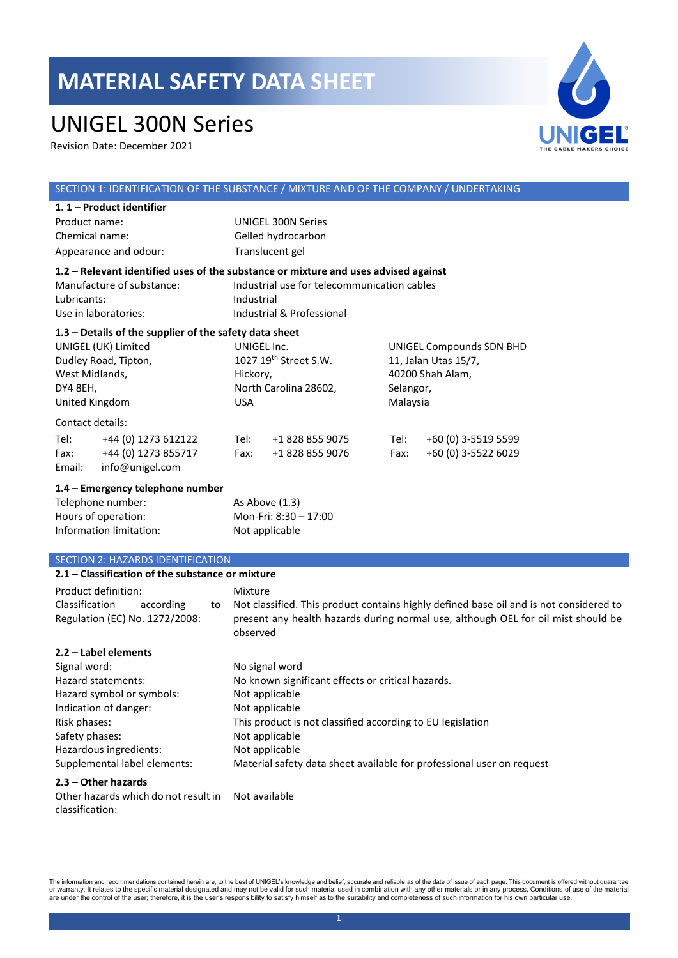### UNIGEL 300N Series

Revision Date: December 2021



#### SECTION 1: IDENTIFICATION OF THE SUBSTANCE / MIXTURE AND OF THE COMPANY / UNDERTAKING **1. 1 – Product identifier**  Product name: UNIGEL 300N Series Chemical name: Gelled hydrocarbon Appearance and odour: Translucent gel **1.2 – Relevant identified uses of the substance or mixture and uses advised against** Manufacture of substance: Industrial use for telecommunication cables Lubricants: Industrial Use in laboratories: Industrial & Professional **1.3 – Details of the supplier of the safety data sheet** UNIGEL (UK) Limited Dudley Road, Tipton, West Midlands, DY4 8EH, United Kingdom UNIGEL Inc. 1027 19th Street S.W. Hickory, North Carolina 28602, USA UNIGEL Compounds SDN BHD 11, Jalan Utas 15/7, 40200 Shah Alam, Selangor, Malaysia Contact details: Tel: +44 (0) 1273 612122 Tel: +1 828 855 9075 Tel: +60 (0) 3-5519 5599 Fax: +44 (0) 1273 855717 Fax: +1 828 855 9076 Fax: +60 (0) 3-5522 6029 Email: info@unigel.com **1.4 – Emergency telephone number** Telephone number: As Above (1.3) Hours of operation: Mon-Fri: 8:30 – 17:00 Information limitation: Not applicable SECTION 2: HAZARDS IDENTIFICATION **2.1 – Classification of the substance or mixture** Product definition: Mixture Classification according to Regulation (EC) No. 1272/2008: Not classified. This product contains highly defined base oil and is not considered to present any health hazards during normal use, although OEL for oil mist should be observed

### **2.2 – Label elements** Signal word: No signal word Signal word in the No signal word Hazard statements: No known significant effects or critical hazards. Hazard symbol or symbols: Not applicable Indication of danger: Not applicable Risk phases: This product is not classified according to EU legislation Safety phases: Not applicable Hazardous ingredients: Not applicable Supplemental label elements: Material safety data sheet available for professional user on request

### **2.3 – Other hazards**

Other hazards which do not result in classification: Not available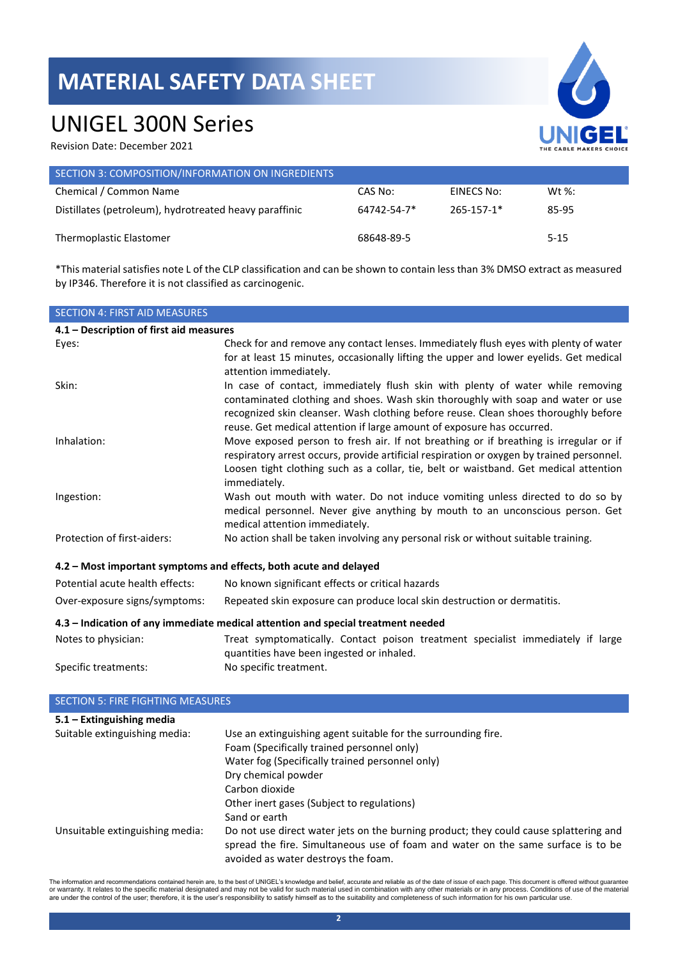## UNIGEL 300N Series

Revision Date: December 2021

| UNIGEL<br>THE CABLE MAKERS CHOICE |
|-----------------------------------|

| SECTION 3: COMPOSITION/INFORMATION ON INGREDIENTS      |             |            |          |
|--------------------------------------------------------|-------------|------------|----------|
| Chemical / Common Name                                 | CAS No:     | EINECS No: | Wt %:    |
| Distillates (petroleum), hydrotreated heavy paraffinic | 64742-54-7* | 265-157-1* | 85-95    |
| Thermoplastic Elastomer                                | 68648-89-5  |            | $5 - 15$ |

\*This material satisfies note L of the CLP classification and can be shown to contain less than 3% DMSO extract as measured by IP346. Therefore it is not classified as carcinogenic.

| <b>SECTION 4: FIRST AID MEASURES</b>                                             |                                                                                                                                                                                                                                                                                                                                     |  |
|----------------------------------------------------------------------------------|-------------------------------------------------------------------------------------------------------------------------------------------------------------------------------------------------------------------------------------------------------------------------------------------------------------------------------------|--|
| 4.1 - Description of first aid measures                                          |                                                                                                                                                                                                                                                                                                                                     |  |
| Eyes:                                                                            | Check for and remove any contact lenses. Immediately flush eyes with plenty of water<br>for at least 15 minutes, occasionally lifting the upper and lower eyelids. Get medical<br>attention immediately.                                                                                                                            |  |
| Skin:                                                                            | In case of contact, immediately flush skin with plenty of water while removing<br>contaminated clothing and shoes. Wash skin thoroughly with soap and water or use<br>recognized skin cleanser. Wash clothing before reuse. Clean shoes thoroughly before<br>reuse. Get medical attention if large amount of exposure has occurred. |  |
| Inhalation:                                                                      | Move exposed person to fresh air. If not breathing or if breathing is irregular or if<br>respiratory arrest occurs, provide artificial respiration or oxygen by trained personnel.<br>Loosen tight clothing such as a collar, tie, belt or waistband. Get medical attention<br>immediately.                                         |  |
| Ingestion:                                                                       | Wash out mouth with water. Do not induce vomiting unless directed to do so by<br>medical personnel. Never give anything by mouth to an unconscious person. Get<br>medical attention immediately.                                                                                                                                    |  |
| Protection of first-aiders:                                                      | No action shall be taken involving any personal risk or without suitable training.                                                                                                                                                                                                                                                  |  |
| 4.2 - Most important symptoms and effects, both acute and delayed                |                                                                                                                                                                                                                                                                                                                                     |  |
| Potential acute health effects:                                                  | No known significant effects or critical hazards                                                                                                                                                                                                                                                                                    |  |
| Over-exposure signs/symptoms:                                                    | Repeated skin exposure can produce local skin destruction or dermatitis.                                                                                                                                                                                                                                                            |  |
| 4.3 - Indication of any immediate medical attention and special treatment needed |                                                                                                                                                                                                                                                                                                                                     |  |
| Notes to physician:                                                              | Treat symptomatically. Contact poison treatment specialist immediately if large<br>quantities have been ingested or inhaled.                                                                                                                                                                                                        |  |
| Specific treatments:                                                             | No specific treatment.                                                                                                                                                                                                                                                                                                              |  |
| <b>SECTION 5: FIRE FIGHTING MEASURES</b>                                         |                                                                                                                                                                                                                                                                                                                                     |  |

| <b>JECTION J. FINE FIGHTING MEASONES</b> |                                                                                       |
|------------------------------------------|---------------------------------------------------------------------------------------|
| 5.1 - Extinguishing media                |                                                                                       |
| Suitable extinguishing media:            | Use an extinguishing agent suitable for the surrounding fire.                         |
|                                          | Foam (Specifically trained personnel only)                                            |
|                                          | Water fog (Specifically trained personnel only)                                       |
|                                          | Dry chemical powder                                                                   |
|                                          | Carbon dioxide                                                                        |
|                                          | Other inert gases (Subject to regulations)                                            |
|                                          | Sand or earth                                                                         |
| Unsuitable extinguishing media:          | Do not use direct water jets on the burning product; they could cause splattering and |
|                                          | spread the fire. Simultaneous use of foam and water on the same surface is to be      |
|                                          | avoided as water destroys the foam.                                                   |

The information and recommendations contained herein are, to the best of UNIGEL's knowledge and belief, accurate and reliable as of the date of issue of each page. This document is offered without guarantee<br>or warranty. It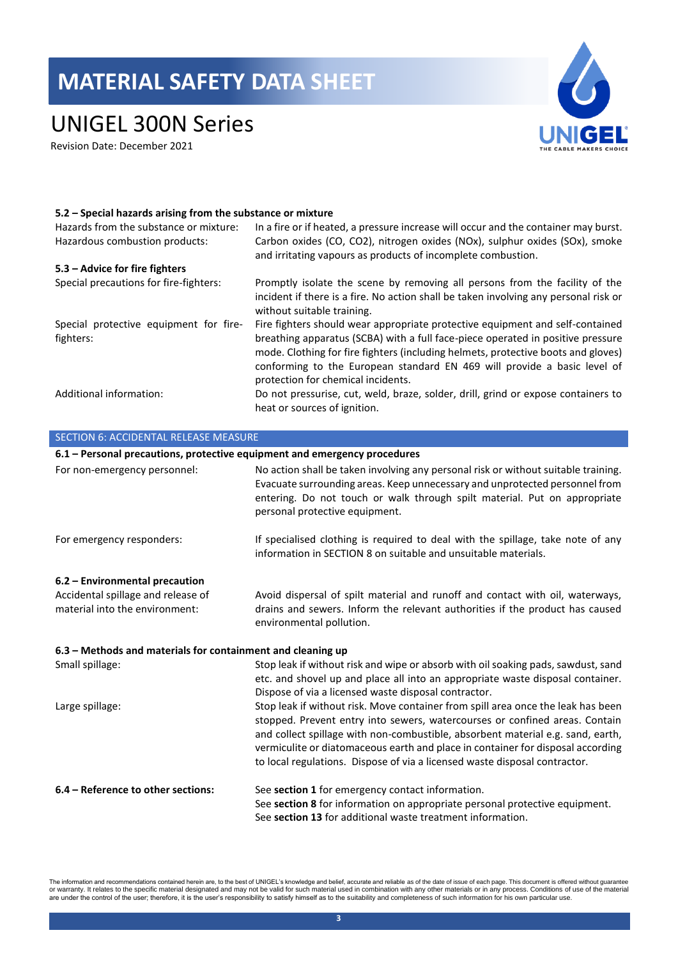## UNIGEL 300N Series

Revision Date: December 2021



#### **5.2 – Special hazards arising from the substance or mixture**

| Hazards from the substance or mixture:<br>Hazardous combustion products: | In a fire or if heated, a pressure increase will occur and the container may burst.<br>Carbon oxides (CO, CO2), nitrogen oxides (NOx), sulphur oxides (SOx), smoke<br>and irritating vapours as products of incomplete combustion.                                                                                                                                      |
|--------------------------------------------------------------------------|-------------------------------------------------------------------------------------------------------------------------------------------------------------------------------------------------------------------------------------------------------------------------------------------------------------------------------------------------------------------------|
| 5.3 – Advice for fire fighters                                           |                                                                                                                                                                                                                                                                                                                                                                         |
| Special precautions for fire-fighters:                                   | Promptly isolate the scene by removing all persons from the facility of the<br>incident if there is a fire. No action shall be taken involving any personal risk or<br>without suitable training.                                                                                                                                                                       |
| Special protective equipment for fire-<br>fighters:                      | Fire fighters should wear appropriate protective equipment and self-contained<br>breathing apparatus (SCBA) with a full face-piece operated in positive pressure<br>mode. Clothing for fire fighters (including helmets, protective boots and gloves)<br>conforming to the European standard EN 469 will provide a basic level of<br>protection for chemical incidents. |
| Additional information:                                                  | Do not pressurise, cut, weld, braze, solder, drill, grind or expose containers to<br>heat or sources of ignition.                                                                                                                                                                                                                                                       |

| <b>SECTION 6: ACCIDENTAL RELEASE MEASURE</b>                              |                                                                                                                                                                                                                                                                                                                                                                                                                     |
|---------------------------------------------------------------------------|---------------------------------------------------------------------------------------------------------------------------------------------------------------------------------------------------------------------------------------------------------------------------------------------------------------------------------------------------------------------------------------------------------------------|
| 6.1 - Personal precautions, protective equipment and emergency procedures |                                                                                                                                                                                                                                                                                                                                                                                                                     |
| For non-emergency personnel:                                              | No action shall be taken involving any personal risk or without suitable training.<br>Evacuate surrounding areas. Keep unnecessary and unprotected personnel from<br>entering. Do not touch or walk through spilt material. Put on appropriate<br>personal protective equipment.                                                                                                                                    |
| For emergency responders:                                                 | If specialised clothing is required to deal with the spillage, take note of any<br>information in SECTION 8 on suitable and unsuitable materials.                                                                                                                                                                                                                                                                   |
| 6.2 - Environmental precaution                                            |                                                                                                                                                                                                                                                                                                                                                                                                                     |
| Accidental spillage and release of<br>material into the environment:      | Avoid dispersal of spilt material and runoff and contact with oil, waterways,<br>drains and sewers. Inform the relevant authorities if the product has caused<br>environmental pollution.                                                                                                                                                                                                                           |
| 6.3 - Methods and materials for containment and cleaning up               |                                                                                                                                                                                                                                                                                                                                                                                                                     |
| Small spillage:                                                           | Stop leak if without risk and wipe or absorb with oil soaking pads, sawdust, sand<br>etc. and shovel up and place all into an appropriate waste disposal container.<br>Dispose of via a licensed waste disposal contractor.                                                                                                                                                                                         |
| Large spillage:                                                           | Stop leak if without risk. Move container from spill area once the leak has been<br>stopped. Prevent entry into sewers, watercourses or confined areas. Contain<br>and collect spillage with non-combustible, absorbent material e.g. sand, earth,<br>vermiculite or diatomaceous earth and place in container for disposal according<br>to local regulations. Dispose of via a licensed waste disposal contractor. |
| 6.4 - Reference to other sections:                                        | See section 1 for emergency contact information.<br>See section 8 for information on appropriate personal protective equipment.<br>See section 13 for additional waste treatment information.                                                                                                                                                                                                                       |

The information and recommendations contained herein are, to the best of UNIGEL's knowledge and belief, accurate and reliable as of the date of issue of each page. This document is offered without guarantee<br>or warranty. It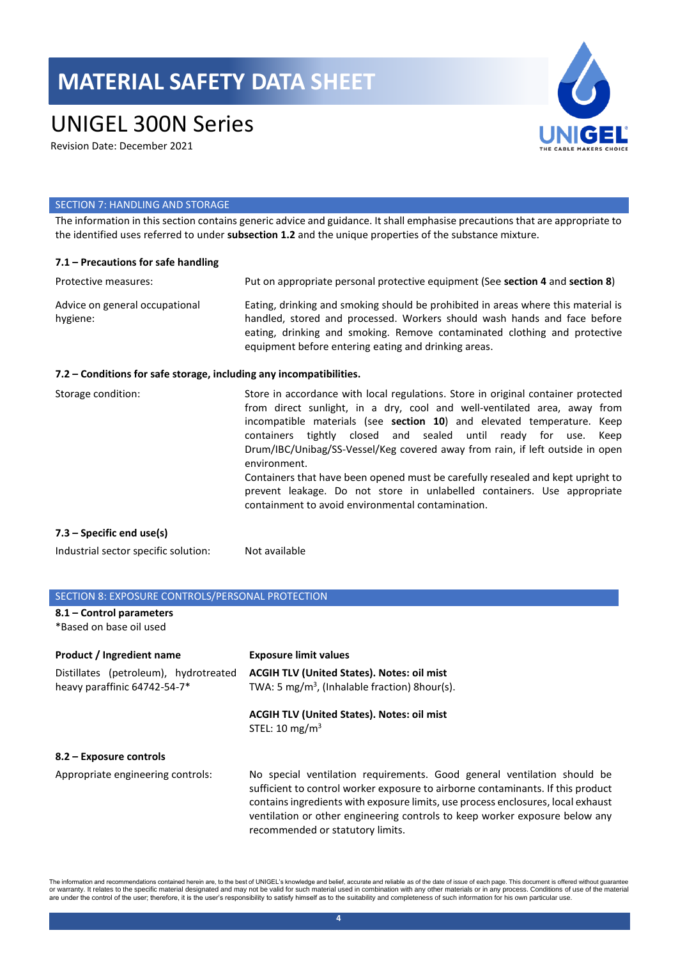## UNIGEL 300N Series

Revision Date: December 2021



#### SECTION 7: HANDLING AND STORAGE

The information in this section contains generic advice and guidance. It shall emphasise precautions that are appropriate to the identified uses referred to under **subsection 1.2** and the unique properties of the substance mixture.

| $7.1$ – Precautions for safe handling                               |                                                                                                                                                                                                                                                                                                                                                                                                                                                                                                                                                                                                                                  |
|---------------------------------------------------------------------|----------------------------------------------------------------------------------------------------------------------------------------------------------------------------------------------------------------------------------------------------------------------------------------------------------------------------------------------------------------------------------------------------------------------------------------------------------------------------------------------------------------------------------------------------------------------------------------------------------------------------------|
| Protective measures:                                                | Put on appropriate personal protective equipment (See section 4 and section 8)                                                                                                                                                                                                                                                                                                                                                                                                                                                                                                                                                   |
| Advice on general occupational<br>hygiene:                          | Eating, drinking and smoking should be prohibited in areas where this material is<br>handled, stored and processed. Workers should wash hands and face before<br>eating, drinking and smoking. Remove contaminated clothing and protective<br>equipment before entering eating and drinking areas.                                                                                                                                                                                                                                                                                                                               |
| 7.2 – Conditions for safe storage, including any incompatibilities. |                                                                                                                                                                                                                                                                                                                                                                                                                                                                                                                                                                                                                                  |
| Storage condition:                                                  | Store in accordance with local regulations. Store in original container protected<br>from direct sunlight, in a dry, cool and well-ventilated area, away from<br>incompatible materials (see section 10) and elevated temperature. Keep<br>containers tightly closed and sealed until ready for use.<br>Keep<br>Drum/IBC/Unibag/SS-Vessel/Keg covered away from rain, if left outside in open<br>environment.<br>Containers that have been opened must be carefully resealed and kept upright to<br>prevent leakage. Do not store in unlabelled containers. Use appropriate<br>containment to avoid environmental contamination. |

### **7.3 – Specific end use(s)**

Industrial sector specific solution: Not available

### SECTION 8: EXPOSURE CONTROLS/PERSONAL PROTECTION

**8.1 – Control parameters**  \*Based on base oil used

| Product / Ingredient name             | <b>Exposure limit values</b>                                                                                                                                                                                                                                                                                                                                      |
|---------------------------------------|-------------------------------------------------------------------------------------------------------------------------------------------------------------------------------------------------------------------------------------------------------------------------------------------------------------------------------------------------------------------|
| Distillates (petroleum), hydrotreated | <b>ACGIH TLV (United States). Notes: oil mist</b>                                                                                                                                                                                                                                                                                                                 |
| heavy paraffinic 64742-54-7*          | TWA: 5 mg/m <sup>3</sup> , (Inhalable fraction) 8 hour(s).                                                                                                                                                                                                                                                                                                        |
|                                       | <b>ACGIH TLV (United States). Notes: oil mist</b><br>STEL: 10 mg/m <sup>3</sup>                                                                                                                                                                                                                                                                                   |
| 8.2 – Exposure controls               |                                                                                                                                                                                                                                                                                                                                                                   |
| Appropriate engineering controls:     | No special ventilation requirements. Good general ventilation should be<br>sufficient to control worker exposure to airborne contaminants. If this product<br>contains ingredients with exposure limits, use process enclosures, local exhaust<br>ventilation or other engineering controls to keep worker exposure below any<br>recommended or statutory limits. |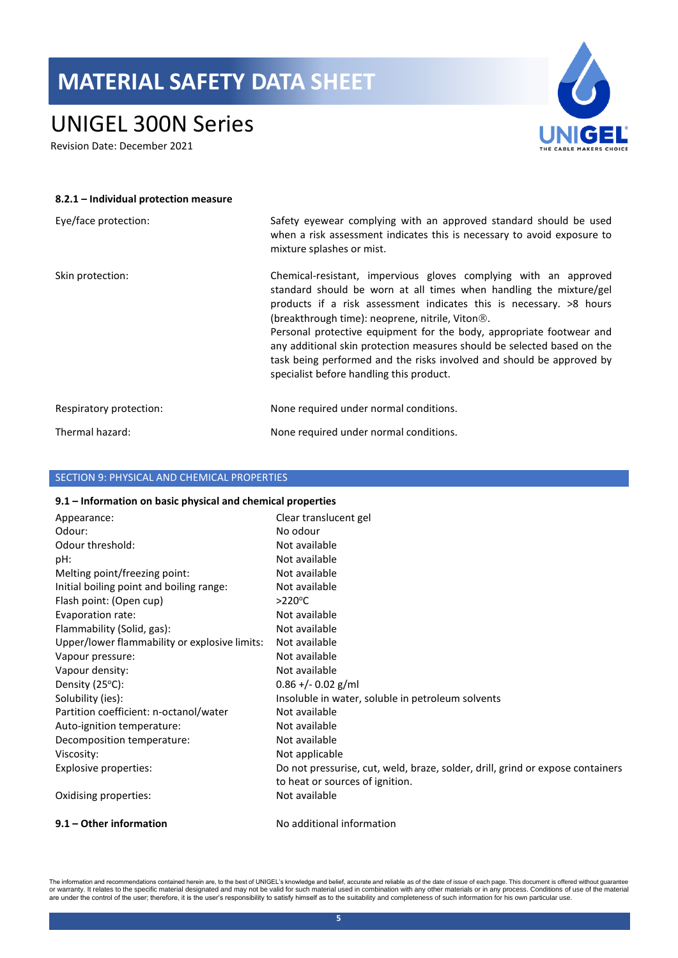## UNIGEL 300N Series

Revision Date: December 2021



| 8.2.1 - Individual protection measure |                                                                                                                                                                                                                                                                                                                                                                                                                                                                                                                                                         |
|---------------------------------------|---------------------------------------------------------------------------------------------------------------------------------------------------------------------------------------------------------------------------------------------------------------------------------------------------------------------------------------------------------------------------------------------------------------------------------------------------------------------------------------------------------------------------------------------------------|
| Eye/face protection:                  | Safety eyewear complying with an approved standard should be used<br>when a risk assessment indicates this is necessary to avoid exposure to<br>mixture splashes or mist.                                                                                                                                                                                                                                                                                                                                                                               |
| Skin protection:                      | Chemical-resistant, impervious gloves complying with an approved<br>standard should be worn at all times when handling the mixture/gel<br>products if a risk assessment indicates this is necessary. $>8$ hours<br>(breakthrough time): neoprene, nitrile, Viton <sup>®</sup> .<br>Personal protective equipment for the body, appropriate footwear and<br>any additional skin protection measures should be selected based on the<br>task being performed and the risks involved and should be approved by<br>specialist before handling this product. |
| Respiratory protection:               | None required under normal conditions.                                                                                                                                                                                                                                                                                                                                                                                                                                                                                                                  |
| Thermal hazard:                       | None required under normal conditions.                                                                                                                                                                                                                                                                                                                                                                                                                                                                                                                  |

### SECTION 9: PHYSICAL AND CHEMICAL PROPERTIES

#### **9.1 – Information on basic physical and chemical properties**

| Appearance:                                   | Clear translucent gel                                                          |
|-----------------------------------------------|--------------------------------------------------------------------------------|
| Odour:                                        | No odour                                                                       |
| Odour threshold:                              | Not available                                                                  |
| pH:                                           | Not available                                                                  |
| Melting point/freezing point:                 | Not available                                                                  |
| Initial boiling point and boiling range:      | Not available                                                                  |
| Flash point: (Open cup)                       | $>220^{\circ}$ C                                                               |
| Evaporation rate:                             | Not available                                                                  |
| Flammability (Solid, gas):                    | Not available                                                                  |
| Upper/lower flammability or explosive limits: | Not available                                                                  |
| Vapour pressure:                              | Not available                                                                  |
| Vapour density:                               | Not available                                                                  |
| Density $(25^{\circ}C)$ :                     | $0.86 + - 0.02$ g/ml                                                           |
| Solubility (ies):                             | Insoluble in water, soluble in petroleum solvents                              |
| Partition coefficient: n-octanol/water        | Not available                                                                  |
| Auto-ignition temperature:                    | Not available                                                                  |
| Decomposition temperature:                    | Not available                                                                  |
| Viscosity:                                    | Not applicable                                                                 |
| Explosive properties:                         | Do not pressurise, cut, weld, braze, solder, drill, grind or expose containers |
|                                               | to heat or sources of ignition.                                                |
| Oxidising properties:                         | Not available                                                                  |
| 9.1 – Other information                       | No additional information                                                      |

The information and recommendations contained herein are, to the best of UNIGEL's knowledge and belief, accurate and reliable as of the date of issue of each page. This document is offered without guarantee<br>or warranty. It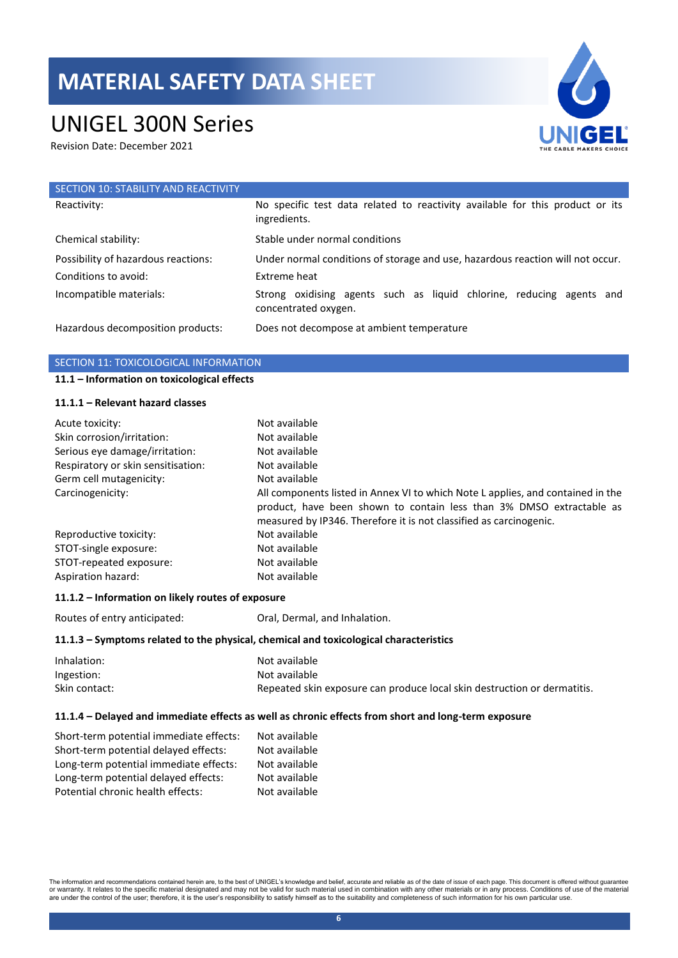## UNIGEL 300N Series

Revision Date: December 2021



| SECTION 10: STABILITY AND REACTIVITY |                                                                                               |
|--------------------------------------|-----------------------------------------------------------------------------------------------|
| Reactivity:                          | No specific test data related to reactivity available for this product or its<br>ingredients. |
| Chemical stability:                  | Stable under normal conditions                                                                |
| Possibility of hazardous reactions:  | Under normal conditions of storage and use, hazardous reaction will not occur.                |
| Conditions to avoid:                 | Extreme heat                                                                                  |
| Incompatible materials:              | Strong oxidising agents such as liquid chlorine, reducing agents and<br>concentrated oxygen.  |
| Hazardous decomposition products:    | Does not decompose at ambient temperature                                                     |

### SECTION 11: TOXICOLOGICAL INFORMATION

### **11.1 – Information on toxicological effects**

#### **11.1.1 – Relevant hazard classes**

| Acute toxicity:                    | Not available                                                                                                                                                                                                                 |
|------------------------------------|-------------------------------------------------------------------------------------------------------------------------------------------------------------------------------------------------------------------------------|
| Skin corrosion/irritation:         | Not available                                                                                                                                                                                                                 |
| Serious eye damage/irritation:     | Not available                                                                                                                                                                                                                 |
| Respiratory or skin sensitisation: | Not available                                                                                                                                                                                                                 |
| Germ cell mutagenicity:            | Not available                                                                                                                                                                                                                 |
| Carcinogenicity:                   | All components listed in Annex VI to which Note L applies, and contained in the<br>product, have been shown to contain less than 3% DMSO extractable as<br>measured by IP346. Therefore it is not classified as carcinogenic. |
| Reproductive toxicity:             | Not available                                                                                                                                                                                                                 |
| STOT-single exposure:              | Not available                                                                                                                                                                                                                 |
| STOT-repeated exposure:            | Not available                                                                                                                                                                                                                 |
| Aspiration hazard:                 | Not available                                                                                                                                                                                                                 |

#### **11.1.2 – Information on likely routes of exposure**

Routes of entry anticipated: Oral, Dermal, and Inhalation.

#### **11.1.3 – Symptoms related to the physical, chemical and toxicological characteristics**

| Inhalation:   | Not available                                                            |
|---------------|--------------------------------------------------------------------------|
| Ingestion:    | Not available                                                            |
| Skin contact: | Repeated skin exposure can produce local skin destruction or dermatitis. |

#### **11.1.4 – Delayed and immediate effects as well as chronic effects from short and long-term exposure**

| Short-term potential immediate effects: | Not available |
|-----------------------------------------|---------------|
| Short-term potential delayed effects:   | Not available |
| Long-term potential immediate effects:  | Not available |
| Long-term potential delayed effects:    | Not available |
| Potential chronic health effects:       | Not available |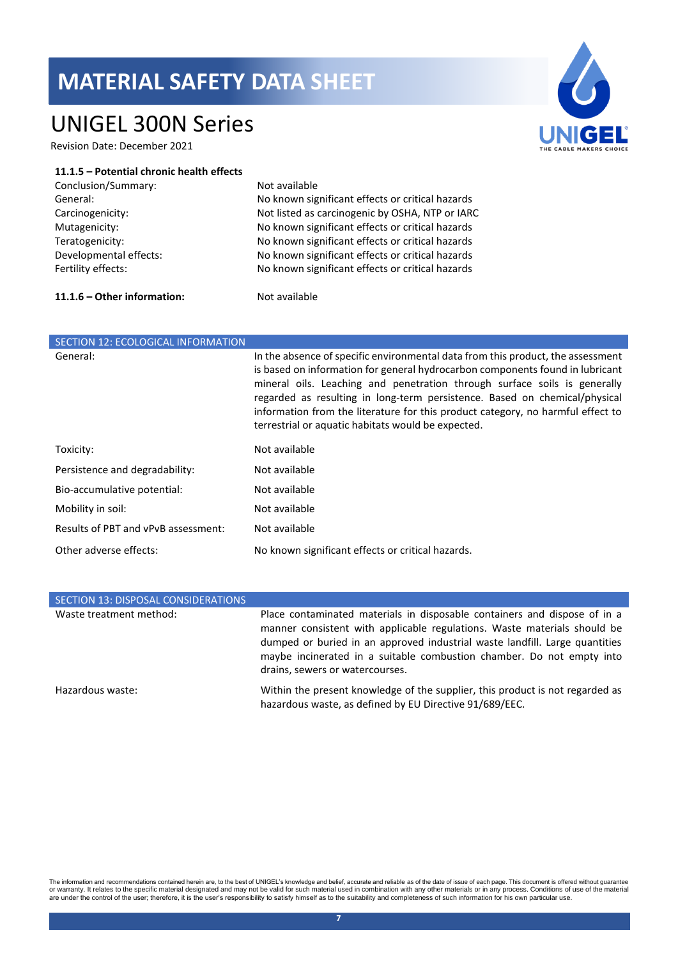### UNIGEL 300N Series

Revision Date: December 2021



#### **11.1.5 – Potential chronic health effects**

| Conclusion/Summary:    |  |
|------------------------|--|
| General:               |  |
| Carcinogenicity:       |  |
| Mutagenicity:          |  |
| Teratogenicity:        |  |
| Developmental effects: |  |
| Fertility effects:     |  |

Not available

No known significant effects or critical hazards Not listed as carcinogenic by OSHA, NTP or IARC No known significant effects or critical hazards No known significant effects or critical hazards No known significant effects or critical hazards No known significant effects or critical hazards

### **11.1.6 – Other information:** Not available

| <b>SECTION 12: ECOLOGICAL INFORMATION</b> |                                                                                                                                                                                                                                                                                                                                                                                                                                                                      |
|-------------------------------------------|----------------------------------------------------------------------------------------------------------------------------------------------------------------------------------------------------------------------------------------------------------------------------------------------------------------------------------------------------------------------------------------------------------------------------------------------------------------------|
| General:                                  | In the absence of specific environmental data from this product, the assessment<br>is based on information for general hydrocarbon components found in lubricant<br>mineral oils. Leaching and penetration through surface soils is generally<br>regarded as resulting in long-term persistence. Based on chemical/physical<br>information from the literature for this product category, no harmful effect to<br>terrestrial or aquatic habitats would be expected. |
| Toxicity:                                 | Not available                                                                                                                                                                                                                                                                                                                                                                                                                                                        |
| Persistence and degradability:            | Not available                                                                                                                                                                                                                                                                                                                                                                                                                                                        |
| Bio-accumulative potential:               | Not available                                                                                                                                                                                                                                                                                                                                                                                                                                                        |
| Mobility in soil:                         | Not available                                                                                                                                                                                                                                                                                                                                                                                                                                                        |
| Results of PBT and vPvB assessment:       | Not available                                                                                                                                                                                                                                                                                                                                                                                                                                                        |
| Other adverse effects:                    | No known significant effects or critical hazards.                                                                                                                                                                                                                                                                                                                                                                                                                    |

| SECTION 13: DISPOSAL CONSIDERATIONS |                                                                                                                                                                                                                                                                                                                                                  |
|-------------------------------------|--------------------------------------------------------------------------------------------------------------------------------------------------------------------------------------------------------------------------------------------------------------------------------------------------------------------------------------------------|
| Waste treatment method:             | Place contaminated materials in disposable containers and dispose of in a<br>manner consistent with applicable regulations. Waste materials should be<br>dumped or buried in an approved industrial waste landfill. Large quantities<br>maybe incinerated in a suitable combustion chamber. Do not empty into<br>drains, sewers or watercourses. |
| Hazardous waste:                    | Within the present knowledge of the supplier, this product is not regarded as<br>hazardous waste, as defined by EU Directive 91/689/EEC.                                                                                                                                                                                                         |